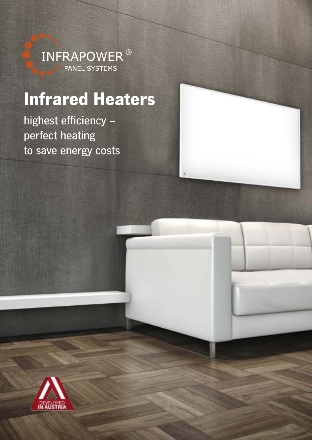

# Infrared Heaters

highest efficiency – perfect heating to save energy costs

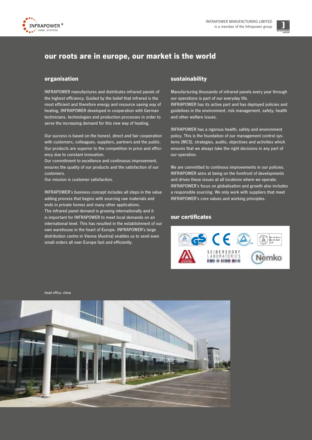



# our roots are in europe, our market is the world

### organisation

INFRAPOWER manufactures and distributes infrared panels of the highest efficiency. Guided by the belief that infrared is the most efficient and therefore energy and resource saving way of heating, INFRAPOWER developed in cooperation with German technicians, technologies and production processes in order to serve the increasing demand for this new way of heating.

Our success is based on the honest, direct and fair cooperation with customers, colleagues, suppliers, partners and the public. Our products are superior to the competition in price and efficiency due to constant innovation.

Our commitment to excellence and continuous improvement, ensures the quality of our products and the satisfaction of our customers.

Our mission is customer satisfaction.

INFRAPOWER's business concept includes all steps in the value adding process that begins with sourcing raw materials and ends in private homes and many other applications. The infrared panel demand is growing internationally and it is important for INFRAPOWER to meet local demands on an international level. This has resulted in the establishment of our own warehouse in the heart of Europe. INFRAPOWER's large distribution centre in Vienna (Austria) enables us to send even small orders all over Europe fast and efficiently.

### sustainability

Manufacturing thousands of infrared panels every year through our operations is part of our everyday life.

INFRAPOWER has its active part and has deployed policies and guidelines in the environment, risk management, safety, health and other welfare issues.

INFRAPOWER has a rigorous health, safety and environment policy. This is the foundation of our management control systems (MCS), strategies, audits, objectives and activities which ensures that we always take the right decisions in any part of our operation.

We are committed to continous improvements in our policies. INFRAPOWER aims at being on the forefront of developments and drives these issues at all locations where we operate. INFRAPOWER's focus on globalisation and growth also includes a responsible sourcing. We only work with suppliers that meet INFRAPOWER's core values and working principles.

### our certificates



head office, china

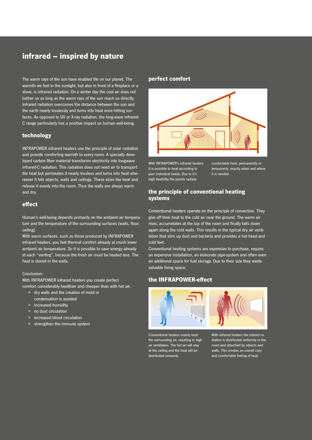# infrared – inspired by nature

The warm rays of the sun have enabled life on our planet. The warmth we feel in the sunlight, but also in front of a fireplace or a stove, is infrared radiation. On a winter day the cool air does not bother us as long as the warm rays of the sun reach us directly. Infrared radiation overcomes the distance between the sun and the earth nearly losslessly and turns into heat once hitting surfaces. As opposed to UV or X-ray radiation, the long-wave infrared-C range particularly has a positive impact on human well-being.

# technology

INFRAPOWER infrared heaters use the principle of solar radiation and provide comforting warmth to every room. A specially developed carbon fiber material transforms electricity into longwave infrared-C radiation. This radiation does not need air to transport the heat but permeates it nearly lossless and turns into heat whereever it hits objects, walls and ceilings. These store the heat and release it evenly into the room. Thus the walls are always warm and dry.

# effect

Human's well-being depends primarily on the ambient air temperature and the temperature of the surrounding surfaces (walls, floor, ceiling).

With warm surfaces, such as those produced by INFRAPOWER infrared heaters, you feel thermal comfort already at much lower ambient air temperature. So it is possible to save energy already at each "venting", because the fresh air must be heated less. The heat is stored in the walls.

### Conclusion:

With INFRAPOWER infrared heaters you create perfect comfort considerably healthier and cheaper than with hot air.

- > dry walls and the creation of mold or condensation is avoided
- > increased humidity
- > no dust circulation
- > increased blood circulation
- > strengthen the immune system

# perfect comfort



With INFRAPOWER's infrared heaters it is possible to heat according to your individual needs. Due to it's high flexibility the panels radiate

comfortable heat, permanently or temporarily, exactly when and where it is needed.

# the principle of conventional heating systems

Conventional heaters operate on the principle of convection. They give off their heat to the cold air near the ground. The warm air rises, accumelates at the top of the room and finally falls down again along the cold walls. This results in the typical dry air ventilation that stirs up dust and bacteria and provides a hot head and cold feet.

Conventional heating systems are expensive to purchase, require an expensive installation, an elaborate pipe-system and often even an additional space for fuel storage. Due to their size they waste valuable living space.

# the INFRAPOWER-effect



Conventional heaters mainly heat the surrounding air, resulting in high air ventilation. The hot air will stay at the ceiling and the heat will be distributed unevenly.

With infrared heaters the infared radiation is distributed uniformly in the room and absorbed by objects and walls. This creates an overall cozy and comfortable feeling of heat.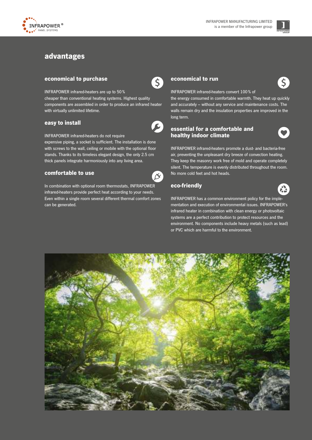



# advantages

# economical to purchase

INFRAPOWER infrared-heaters are up to 50 % cheaper than conventional heating systems. Highest quality components are assembled in order to produce an infrared heater with virtually unlimited lifetime.

### easy to install



 $\left(5\right)$ 

INFRAPOWER infrared-heaters do not require

expensive piping, a socket is sufficient. The installation is done with screws to the wall, ceiling or mobile with the optional floor stands. Thanks to its timeless elegant design, the only 2.5 cm thick panels integrate harmoniously into any living area.

# comfortable to use

In combination with optional room thermostats, INFRAPOWER infrared-heaters provide perfect heat according to your needs. Even within a single room several different thermal comfort zones can be generated.

# economical to run



INFRAPOWER infrared-heaters convert 100 % of

the energy consumed in comfortable warmth. They heat up quickly and accurately – without any service and maintenance costs. The walls remain dry and the insulation properties are improved in the long term.

# essential for a comfortable and healthy indoor climate



INFRAPOWER infrared-heaters promote a dust- and bacteria-free air, preventing the unpleasant dry breeze of convection heating. They keep the masonry work free of mold and operate completely silent. The temperature is evenly distributed throughout the room. No more cold feet and hot heads.

# eco-friendly



INFRAPOWER has a common environment policy for the implementation and execution of environmental issues. INFRAPOWER's infrared heater in combination with clean energy or photovoltaic systems are a perfect contribution to protect resources and the environment. No components include heavy metals (such as lead) or PVC which are harmful to the environment.

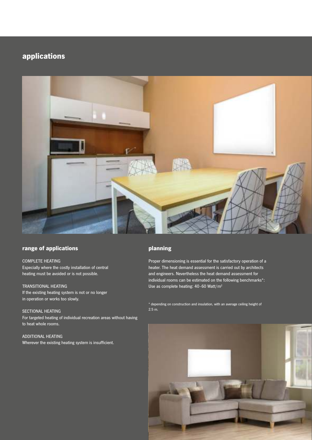# applications



# range of applications

# COMPLETE HEATING

Especially where the costly installation of central heating must be avoided or is not possible.

### TRANSITIONAL HEATING

If the existing heating system is not or no longer in operation or works too slowly.

# SECTIONAL HEATING

For targeted heating of individual recreation areas without having to heat whole rooms.

ADDITIONAL HEATING Wherever the existing heating system is insufficient.

# planning

Proper dimensioning is essential for the satisfactory operation of a heater. The heat demand assessment is carried out by architects and engineers. Nevertheless the heat demand assessment for individual rooms can be estimated on the following benchmarks\*: Use as complete heating: 40-60 Watt/m<sup>2</sup>

\* depending on construction and insulation, with an average ceiling height of 2.5 m.

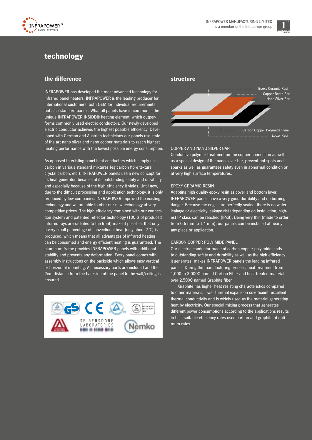



# technology

# the difference

INFRAPOWER has developed the most advanced technology for infrared panel heaters. INFRAPOWER is the leading producer for international customers, both OEM for individual requirements but also standard panels. What all panels have in common is the unique INFRAPOWER INSIDE® heating element, which outperforms commonly used electric conductors. Our newly developed electric conductor achieves the highest possible efficiency. Developed with German and Austrian technicians our panels use state of the art nano silver and nano copper materials to reach highest heating performance with the lowest possible energy consumption.

As opposed to existing panel heat conductors which simply use carbon in various standard mixtures (eg carbon fibre texture, crystal carbon, etc.), INFRAPOWER panels use a new concept for its heat generator, because of its outstanding safety and durability and especially because of the high efficiency it yields. Until now, due to the difficult processing and application technology, it is only produced by few companies. INFRAPOWER improved the existing technology and we are able to offer our new technology at very competitive prices. The high efficiency combined with our connection system and patented reflector technology (100 % of produced infrared rays are radiated to the front) make it possible, that only a very small percentage of convectional heat (only about 7 %) is produced, which means that all advantages of infrared heating can be consumed and energy efficient heating is guaranteed. The aluminum frame provides INFRAPOWER panels with additional stability and prevents any deformation. Every panel comes with assembly instructions on the backside which allows easy vertical or horizontal mounting. All necessary parts are included and the 2cm distance from the backside of the panel to the wall/ceiling is ensured.



# structure



### COPPER AND NANO SILVER BAR

Conductive polymer treatment on the copper connection as well as a special design of the nano silver bar, prevent hot spots and sparks as well as guarantees safety even in abnormal condition or at very high surface temperatures.

### EPOXY CERAMIC RESIN

Adapting high quality epoxy resin as cover and bottom layer, INFRAPOWER panels have a very good durability and no burning danger. Because the edges are perfectly sealed, there is no water leakage or electricity leakage rist (depending on installation, highest IP class can be reached (IPx8). Being very thin (made to order from 0.6 mm to 1.4 mm), our panels can be installed at nearly any place or application.

### CARBON COPPER POLYIMIDE PANEL

Our electric conductor made of carbon copper polyimide leads to outstanding safety and durability as well as the high efficiency it generates, makes INFRAPOWER panels the leading infrared panels. During the manufacturing process, heat treatment from 1,000 to 3,000C named Carbon Fiber and heat treated material over 2,500C named Graphite fiber.

 Graphite has higher heat resisting characteristics compared to other materials, lower thermal expansion co-efficient, excellent thermal conductivity and is widely used as the material generating heat by electricity. Our special mixing process that generates different power consumptions according to the applications results in best suitable efficiency rates used carbon and graphite at optimum rates.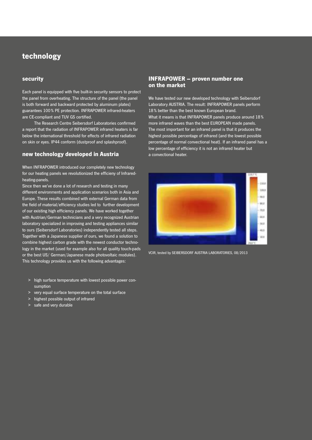# technology

### security

Each panel is equipped with five built-in security sensors to protect the panel from overheating. The structure of the panel (the panel is both forward and backward protected by aluminum plates) guarantees 100 % PE protection. INFRAPOWER infrared-heaters are CE-compliant and TUV GS certified.

 The Research Centre Seibersdorf Laboratories confirmed a report that the radiation of INFRAPOWER infrared heaters is far below the international threshold for effects of infrared radiation on skin or eyes. IP44 conform (dustproof and splashproof).

# new technology developed in Austria

When INFRAPOWER introduced our completely new technology for our heating panels we revolutionized the efficieny of Infraredheating-panels.

Since then we've done a lot of research and testing in many different environments and application scenarios both in Asia and Europe. These results combined with external German data from the field of material/efficiency studies led to further development of our existing high efficiency panels. We have worked together with Austrian/German technicians and a very recognized Austrian laboratory specialized in improving and testing appliances similar to ours (Seibersdorf Laboratories) independently tested all steps. Together with a Japanese supplier of ours, we found a solution to combine highest carbon grade with the newest conductor technology in the market (used for example also for all quality touch-pads or the best US/ German/Japanese made photovoltaic modules). This technology provides us with the following advantages:

- > high surface temperature with lowest possible power consumption
- > very equal surface temperature on the total surface
- > highest possible output of infrared
- > safe and very durable

# INFRAPOWER – proven number one on the market

We have tested our new developed technology with Seibersdorf Laboratory AUSTRIA. The result: INFRAPOWER panels perform 18 % better than the best known European brand. What it means is that INFRAPOWER panels produce around 18 % more infrared waves than the best EUROPEAN made panels. The most important for an infrared panel is that it produces the highest possible percentage of infrared (and the lowest possible percentage of normal convectional heat). If an infrared panel has a low percentage of efficiency it is not an infrared heater but a convectional heater.



VCIR, tested by SEIBERSDORF AUSTRIA LABORATORIES, 08/2013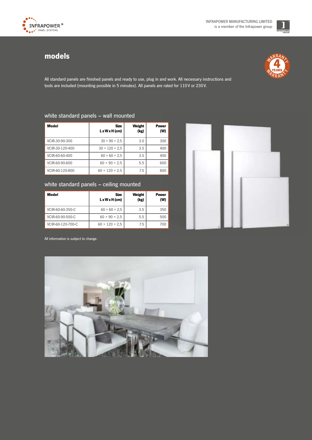

# models



All standard panels are finished panels and ready to use, plug in and work. All necessary instructions and tools are included (mounting possible in 5 minutes). All panels are rated for 110 V or 230 V.

# white standard panels – wall mounted

| Model           | <b>Size</b><br>$L \times W \times H$ (cm) | Weight<br>(kg) | Power<br>(W) |
|-----------------|-------------------------------------------|----------------|--------------|
| VCIR-30-90-300  | $30 \times 90 \times 2.5$                 | 3.0            | 300          |
| VCIR-30-120-400 | $30 \times 120 \times 2.5$                | 3.5            | 400          |
| VCIR-60-60-400  | $60 \times 60 \times 2.5$                 | 3.5            | 400          |
| VCIR-60-90-600  | $60 \times 90 \times 2.5$                 | 5.5            | 600          |
| VCIR-60-120-800 | $60 \times 120 \times 2.5$                | 7.5            | 800          |

# white standard panels – ceiling mounted

| Model             | <b>Size</b><br>$L \times W \times H$ (cm) | Weight<br>(kg) | <b>Power</b><br>(W) |
|-------------------|-------------------------------------------|----------------|---------------------|
| VCIR-60-60-350-C  | $60 \times 60 \times 2.5$                 | 3.5            | 350                 |
| VCIR-60-90-500-C  | $60 \times 90 \times 2.5$                 | 5.5            | 500                 |
| VCIR-60-120-700-C | $60 \times 120 \times 2.5$                | 7.5            | 700                 |



All information is subject to change.

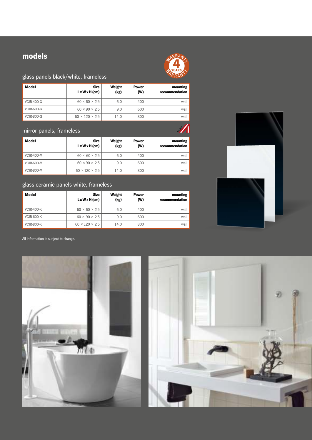# models



# glass panels black/white, frameless

| <b>Model</b>      | <b>Size</b><br>$L \times W \times H$ (cm) | Weight<br>(kg) | <b>Power</b><br>(W) | mounting<br>recommendation |
|-------------------|-------------------------------------------|----------------|---------------------|----------------------------|
| <b>VCIR-400-G</b> | $60 \times 60 \times 2.5$                 | 6.0            | 400                 | wall                       |
| <b>VCIR-600-G</b> | $60 \times 90 \times 2.5$                 | 9.0            | 600                 | wall                       |
| <b>VCIR-800-G</b> | $60 \times 120 \times 2.5$                | 14.0           | 800                 | wall                       |

# mirror panels, frameless

| <b>Model</b>      | <b>Size</b><br>$L \times W \times H$ (cm) | Weight<br>(kg) | <b>Power</b><br>(W) | mounting<br>recommendation |
|-------------------|-------------------------------------------|----------------|---------------------|----------------------------|
| <b>VCIR-400-M</b> | $60 \times 60 \times 2.5$                 | 6.0            | 400                 | wall                       |
| <b>VCIR-600-M</b> | $60 \times 90 \times 2.5$                 | 9.0            | 600                 | wall                       |
| <b>VCIR-800-M</b> | $60 \times 120 \times 2.5$                | 14.0           | 800                 | wall                       |

# glass ceramic panels white, frameless

| <b>Model</b>      | <b>Size</b><br>$L \times W \times H$ (cm) | Weight<br>(kg) | <b>Power</b><br>(W) | mounting<br>recommendation |
|-------------------|-------------------------------------------|----------------|---------------------|----------------------------|
| <b>VCIR-400-K</b> | $60 \times 60 \times 2.5$                 | 6.0            | 400                 | wall                       |
| <b>VCIR-600-K</b> | $60 \times 90 \times 2.5$                 | 9.0            | 600                 | wall                       |
| <b>VCIR-800-K</b> | $60 \times 120 \times 2.5$                | 14.0           | 800                 | wall                       |



All information is subject to change.



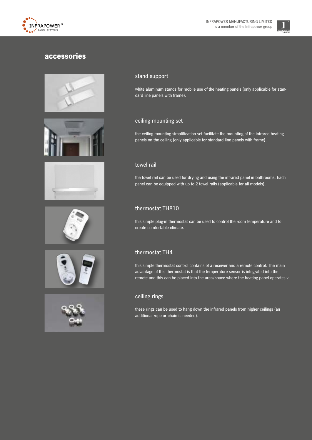



# accessories













### stand support

white aluminum stands for mobile use of the heating panels (only applicable for standard line panels with frame).

# ceiling mounting set

the ceiling mounting simplification set facilitate the mounting of the infrared heating panels on the ceiling (only applicable for standard line panels with frame).

# towel rail

the towel rail can be used for drying and using the infrared panel in bathrooms. Each panel can be equipped with up to 2 towel rails (applicable for all models).

# thermostat TH810

this simple plug-in thermostat can be used to control the room temperature and to create comfortable climate.

# thermostat TH4

this simple thermostat control contains of a receiver and a remote control. The main advantage of this thermostat is that the temperature sensor is integrated into the remote and this can be placed into the area/space where the heating panel operates.v

# ceiling rings

these rings can be used to hang down the infrared panels from higher ceilings (an additional rope or chain is needed).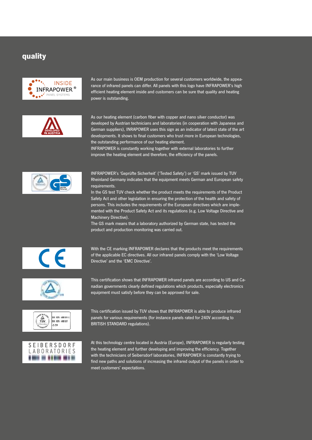# quality



As our main business is OEM production for several customers worldwide, the appearance of infrared panels can differ. All panels with this logo have INFRAPOWER's high efficient heating element inside and customers can be sure that quality and heating power is outstanding.



As our heating element (carbon fiber with copper and nano silver conductor) was developed by Austrian technicians and laboratories (in cooperation with Japanese and German suppliers), INRAPOWER uses this sign as an indicator of latest state of the art developments. It shows to final customers who trust more in European technologies, the outstanding performance of our heating element.

INFRAPOWER is constantly working together with external laboratories to further improve the heating element and therefore, the efficiency of the panels.



INFRAPOWER's 'Geprüfte Sicherheit' ('Tested Safety') or 'GS' mark issued by TUV Rheinland Germany indicates that the equipment meets German and European safety requirements.

In the GS test TUV check whether the product meets the requirements of the Product Safety Act and other legislation in ensuring the protection of the health and safety of persons. This includes the requirements of the European directives which are implemented with the Product Safety Act and its regulations (e.g. Low Voltage Directive and Machinery Directive).

The GS mark means that a laboratory authorized by German state, has tested the product and production monitoring was carried out.



With the CE marking INFRAPOWER declares that the products meet the requirements of the applicable EC directives. All our infrared panels comply with the 'Low Voltage Directive' and the 'EMC Directive'.



This certification shows that INFRAPOWER infrared panels are according to US and Canadian governments clearly defined regulations which products, especially electronics equipment must satisfy before they can be approved for sale.





This certification issued by TUV shows that INFRAPOWER is able to produce infrared panels for various requirements (for instance panels rated for 240V according to BRITISH STANDARD regulations).

At this technology centre located in Austria (Europe), INFRAPOWER is regularly testing the heating element and further developing and improving the efficiency. Together with the technicians of Seibersdorf laboratories, INFRAPOWER is constantly trying to find new paths and solutions of increasing the infrared output of the panels in order to meet customers' expectations.